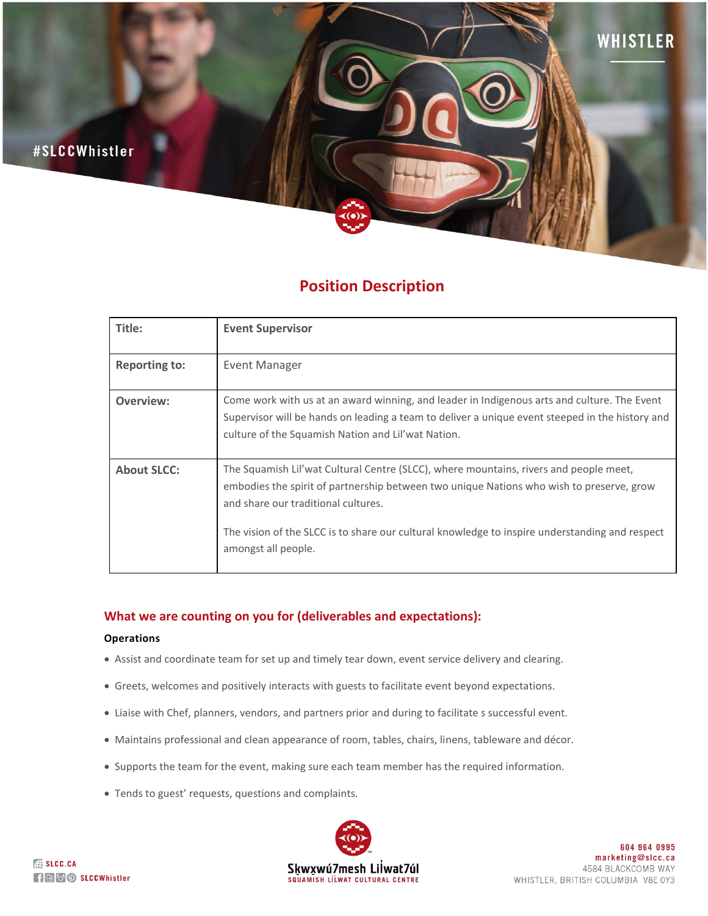

# **Position Description**

| Title:               | <b>Event Supervisor</b>                                                                                                                                                                                                                                                                                                                           |
|----------------------|---------------------------------------------------------------------------------------------------------------------------------------------------------------------------------------------------------------------------------------------------------------------------------------------------------------------------------------------------|
| <b>Reporting to:</b> | Event Manager                                                                                                                                                                                                                                                                                                                                     |
| Overview:            | Come work with us at an award winning, and leader in Indigenous arts and culture. The Event<br>Supervisor will be hands on leading a team to deliver a unique event steeped in the history and<br>culture of the Squamish Nation and Lil'wat Nation.                                                                                              |
| <b>About SLCC:</b>   | The Squamish Lil'wat Cultural Centre (SLCC), where mountains, rivers and people meet,<br>embodies the spirit of partnership between two unique Nations who wish to preserve, grow<br>and share our traditional cultures.<br>The vision of the SLCC is to share our cultural knowledge to inspire understanding and respect<br>amongst all people. |

## **What we are counting on you for (deliverables and expectations):**

#### **Operations**

- Assist and coordinate team for set up and timely tear down, event service delivery and clearing.
- Greets, welcomes and positively interacts with guests to facilitate event beyond expectations.
- Liaise with Chef, planners, vendors, and partners prior and during to facilitate s successful event.
- Maintains professional and clean appearance of room, tables, chairs, linens, tableware and décor.
- Supports the team for the event, making sure each team member has the required information.
- Tends to guest' requests, questions and complaints.

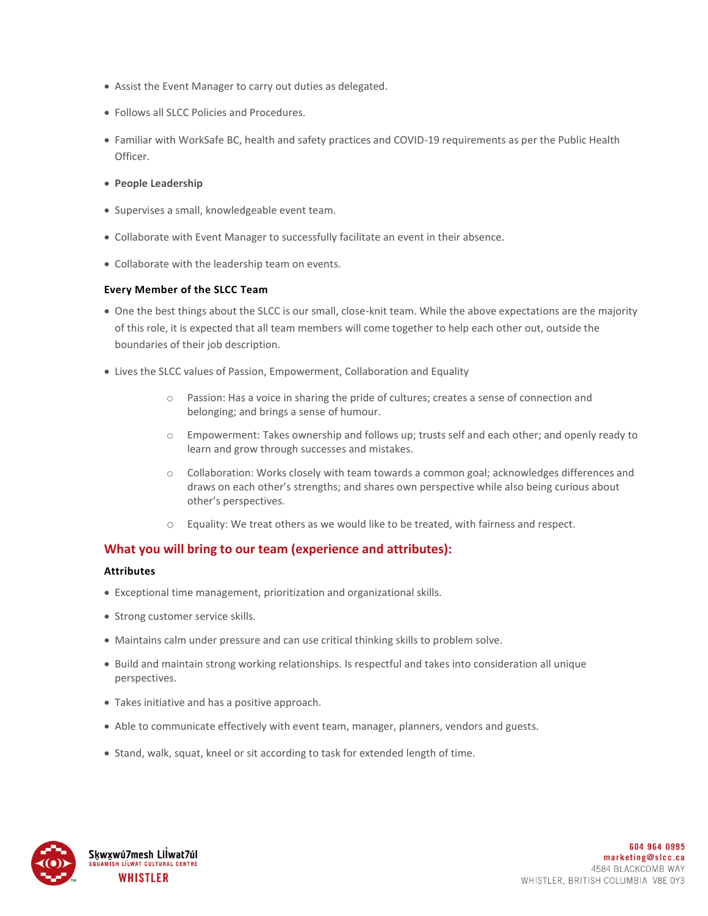- Assist the Event Manager to carry out duties as delegated.
- Follows all SLCC Policies and Procedures.
- Familiar with WorkSafe BC, health and safety practices and COVID-19 requirements as per the Public Health Officer.
- **People Leadership**
- Supervises a small, knowledgeable event team.
- Collaborate with Event Manager to successfully facilitate an event in their absence.
- Collaborate with the leadership team on events.

## **Every Member of the SLCC Team**

- One the best things about the SLCC is our small, close-knit team. While the above expectations are the majority of this role, it is expected that all team members will come together to help each other out, outside the boundaries of their job description.
- Lives the SLCC values of Passion, Empowerment, Collaboration and Equality
	- o Passion: Has a voice in sharing the pride of cultures; creates a sense of connection and belonging; and brings a sense of humour.
	- o Empowerment: Takes ownership and follows up; trusts self and each other; and openly ready to learn and grow through successes and mistakes.
	- o Collaboration: Works closely with team towards a common goal; acknowledges differences and draws on each other's strengths; and shares own perspective while also being curious about other's perspectives.
	- o Equality: We treat others as we would like to be treated, with fairness and respect.

## **What you will bring to our team (experience and attributes):**

#### **Attributes**

- Exceptional time management, prioritization and organizational skills.
- Strong customer service skills.
- Maintains calm under pressure and can use critical thinking skills to problem solve.
- Build and maintain strong working relationships. Is respectful and takes into consideration all unique perspectives.
- Takes initiative and has a positive approach.
- Able to communicate effectively with event team, manager, planners, vendors and guests.
- Stand, walk, squat, kneel or sit according to task for extended length of time.